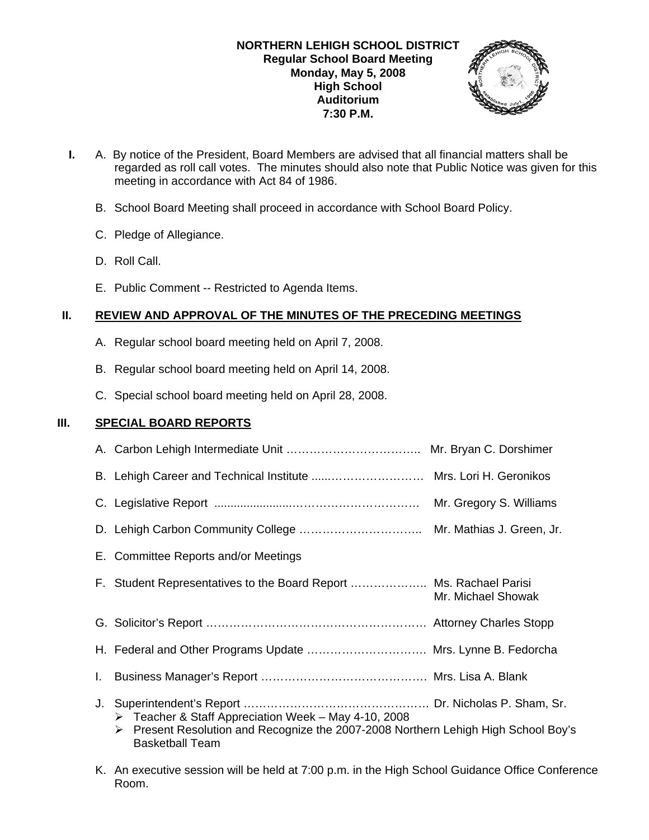

- **I.** A. By notice of the President, Board Members are advised that all financial matters shall be regarded as roll call votes. The minutes should also note that Public Notice was given for this meeting in accordance with Act 84 of 1986.
	- B. School Board Meeting shall proceed in accordance with School Board Policy.
	- C. Pledge of Allegiance.
	- D. Roll Call.
	- E. Public Comment -- Restricted to Agenda Items.

# **II. REVIEW AND APPROVAL OF THE MINUTES OF THE PRECEDING MEETINGS**

- A. Regular school board meeting held on April 7, 2008.
- B. Regular school board meeting held on April 14, 2008.
- C. Special school board meeting held on April 28, 2008.

# **III. SPECIAL BOARD REPORTS**

|    | E. Committee Reports and/or Meetings                                                                                                                                       |                    |
|----|----------------------------------------------------------------------------------------------------------------------------------------------------------------------------|--------------------|
|    | F. Student Representatives to the Board Report  Ms. Rachael Parisi                                                                                                         | Mr. Michael Showak |
|    |                                                                                                                                                                            |                    |
|    | H. Federal and Other Programs Update  Mrs. Lynne B. Fedorcha                                                                                                               |                    |
| I. |                                                                                                                                                                            |                    |
| J. | Teacher & Staff Appreciation Week - May 4-10, 2008<br>≻<br>Present Resolution and Recognize the 2007-2008 Northern Lehigh High School Boy's<br>➤<br><b>Basketball Team</b> |                    |

K. An executive session will be held at 7:00 p.m. in the High School Guidance Office Conference Room.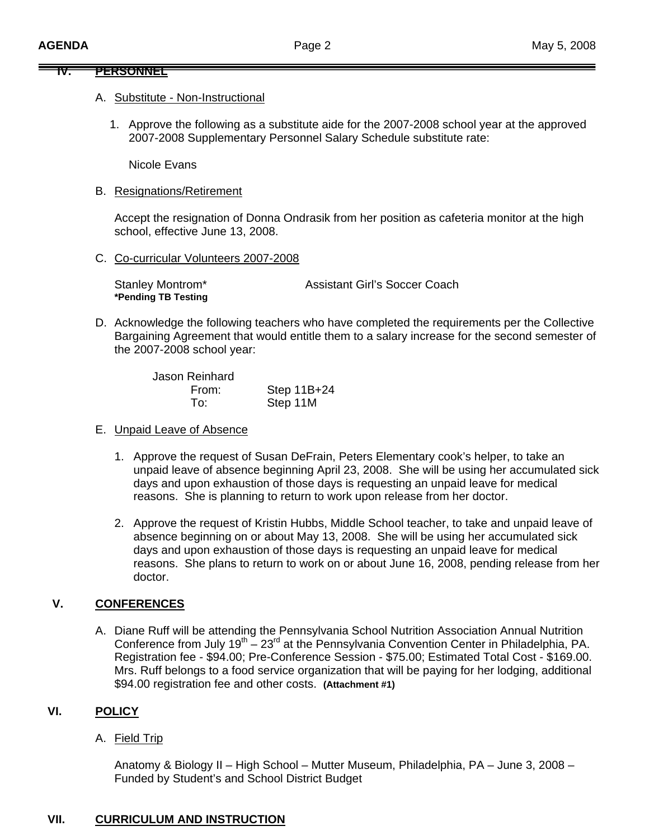### **IV. PERSONNEL**

### A. Substitute - Non-Instructional

1. Approve the following as a substitute aide for the 2007-2008 school year at the approved 2007-2008 Supplementary Personnel Salary Schedule substitute rate:

Nicole Evans

B. Resignations/Retirement

Accept the resignation of Donna Ondrasik from her position as cafeteria monitor at the high school, effective June 13, 2008.

C. Co-curricular Volunteers 2007-2008

Stanley Montrom\* Assistant Girl's Soccer Coach **\*Pending TB Testing** 

D. Acknowledge the following teachers who have completed the requirements per the Collective Bargaining Agreement that would entitle them to a salary increase for the second semester of the 2007-2008 school year:

| Jason Reinhard |             |
|----------------|-------------|
| From:          | Step 11B+24 |
| To:            | Step 11M    |

# E. Unpaid Leave of Absence

- 1. Approve the request of Susan DeFrain, Peters Elementary cook's helper, to take an unpaid leave of absence beginning April 23, 2008. She will be using her accumulated sick days and upon exhaustion of those days is requesting an unpaid leave for medical reasons. She is planning to return to work upon release from her doctor.
- 2. Approve the request of Kristin Hubbs, Middle School teacher, to take and unpaid leave of absence beginning on or about May 13, 2008. She will be using her accumulated sick days and upon exhaustion of those days is requesting an unpaid leave for medical reasons. She plans to return to work on or about June 16, 2008, pending release from her doctor.

# **V. CONFERENCES**

A. Diane Ruff will be attending the Pennsylvania School Nutrition Association Annual Nutrition Conference from July  $19<sup>th</sup> - 23<sup>rd</sup>$  at the Pennsylvania Convention Center in Philadelphia, PA. Registration fee - \$94.00; Pre-Conference Session - \$75.00; Estimated Total Cost - \$169.00. Mrs. Ruff belongs to a food service organization that will be paying for her lodging, additional \$94.00 registration fee and other costs. **(Attachment #1)**

# **VI. POLICY**

A. Field Trip

Anatomy & Biology II – High School – Mutter Museum, Philadelphia, PA – June 3, 2008 – Funded by Student's and School District Budget

# **VII. CURRICULUM AND INSTRUCTION**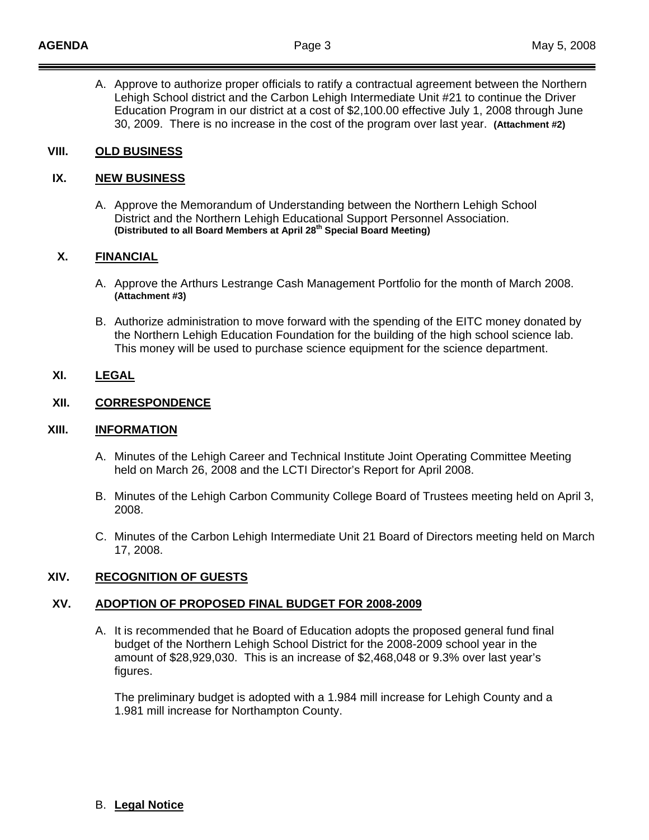A. Approve to authorize proper officials to ratify a contractual agreement between the Northern Lehigh School district and the Carbon Lehigh Intermediate Unit #21 to continue the Driver Education Program in our district at a cost of \$2,100.00 effective July 1, 2008 through June 30, 2009. There is no increase in the cost of the program over last year. **(Attachment #2)**

### **VIII. OLD BUSINESS**

### **IX. NEW BUSINESS**

A. Approve the Memorandum of Understanding between the Northern Lehigh School District and the Northern Lehigh Educational Support Personnel Association. **(Distributed to all Board Members at April 28th Special Board Meeting)**

### **X. FINANCIAL**

- A. Approve the Arthurs Lestrange Cash Management Portfolio for the month of March 2008. **(Attachment #3)**
- B. Authorize administration to move forward with the spending of the EITC money donated by the Northern Lehigh Education Foundation for the building of the high school science lab. This money will be used to purchase science equipment for the science department.

# **XI. LEGAL**

# **XII. CORRESPONDENCE**

### **XIII. INFORMATION**

- A. Minutes of the Lehigh Career and Technical Institute Joint Operating Committee Meeting held on March 26, 2008 and the LCTI Director's Report for April 2008.
- B. Minutes of the Lehigh Carbon Community College Board of Trustees meeting held on April 3, 2008.
- C. Minutes of the Carbon Lehigh Intermediate Unit 21 Board of Directors meeting held on March 17, 2008.

# **XIV. RECOGNITION OF GUESTS**

### **XV. ADOPTION OF PROPOSED FINAL BUDGET FOR 2008-2009**

A. It is recommended that he Board of Education adopts the proposed general fund final budget of the Northern Lehigh School District for the 2008-2009 school year in the amount of \$28,929,030. This is an increase of \$2,468,048 or 9.3% over last year's figures.

 The preliminary budget is adopted with a 1.984 mill increase for Lehigh County and a 1.981 mill increase for Northampton County.

### B. **Legal Notice**